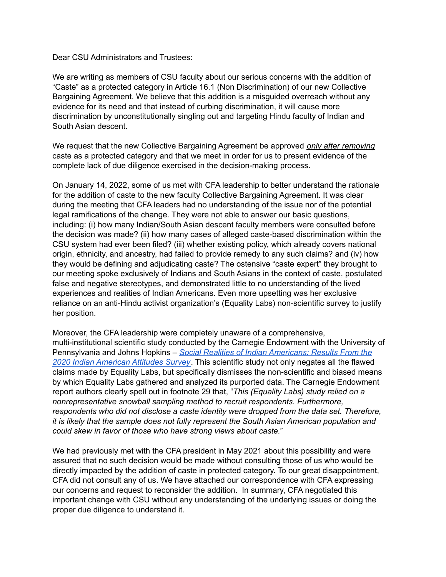Dear CSU Administrators and Trustees:

We are writing as members of CSU faculty about our serious concerns with the addition of "Caste" as a protected category in Article 16.1 (Non Discrimination) of our new Collective Bargaining Agreement. We believe that this addition is a misguided overreach without any evidence for its need and that instead of curbing discrimination, it will cause more discrimination by unconstitutionally singling out and targeting Hindu faculty of Indian and South Asian descent.

We request that the new Collective Bargaining Agreement be approved *only after removing* caste as a protected category and that we meet in order for us to present evidence of the complete lack of due diligence exercised in the decision-making process.

On January 14, 2022, some of us met with CFA leadership to better understand the rationale for the addition of caste to the new faculty Collective Bargaining Agreement. It was clear during the meeting that CFA leaders had no understanding of the issue nor of the potential legal ramifications of the change. They were not able to answer our basic questions, including: (i) how many Indian/South Asian descent faculty members were consulted before the decision was made? (ii) how many cases of alleged caste-based discrimination within the CSU system had ever been filed? (iii) whether existing policy, which already covers national origin, ethnicity, and ancestry, had failed to provide remedy to any such claims? and (iv) how they would be defining and adjudicating caste? The ostensive "caste expert" they brought to our meeting spoke exclusively of Indians and South Asians in the context of caste, postulated false and negative stereotypes, and demonstrated little to no understanding of the lived experiences and realities of Indian Americans. Even more upsetting was her exclusive reliance on an anti-Hindu activist organization's (Equality Labs) non-scientific survey to justify her position.

Moreover, the CFA leadership were completely unaware of a comprehensive, multi-institutional scientific study conducted by the Carnegie Endowment with the University of Pennsylvania and Johns Hopkins – *Social Realities of Indian [Americans:](https://carnegieendowment.org/files/Vaishnav_etal_IAASpt3_Final.pdf) Results From the 2020 Indian [American](https://carnegieendowment.org/files/Vaishnav_etal_IAASpt3_Final.pdf) Attitudes Survey*. This scientific study not only negates all the flawed claims made by Equality Labs, but specifically dismisses the non-scientific and biased means by which Equality Labs gathered and analyzed its purported data. The Carnegie Endowment report authors clearly spell out in footnote 29 that, "*This (Equality Labs) study relied on a nonrepresentative snowball sampling method to recruit respondents. Furthermore, respondents who did not disclose a caste identity were dropped from the data set. Therefore, it is likely that the sample does not fully represent the South Asian American population and could skew in favor of those who have strong views about caste.*"

We had previously met with the CFA president in May 2021 about this possibility and were assured that no such decision would be made without consulting those of us who would be directly impacted by the addition of caste in protected category. To our great disappointment, CFA did not consult any of us. We have attached our correspondence with CFA expressing our concerns and request to reconsider the addition. In summary, CFA negotiated this important change with CSU without any understanding of the underlying issues or doing the proper due diligence to understand it.